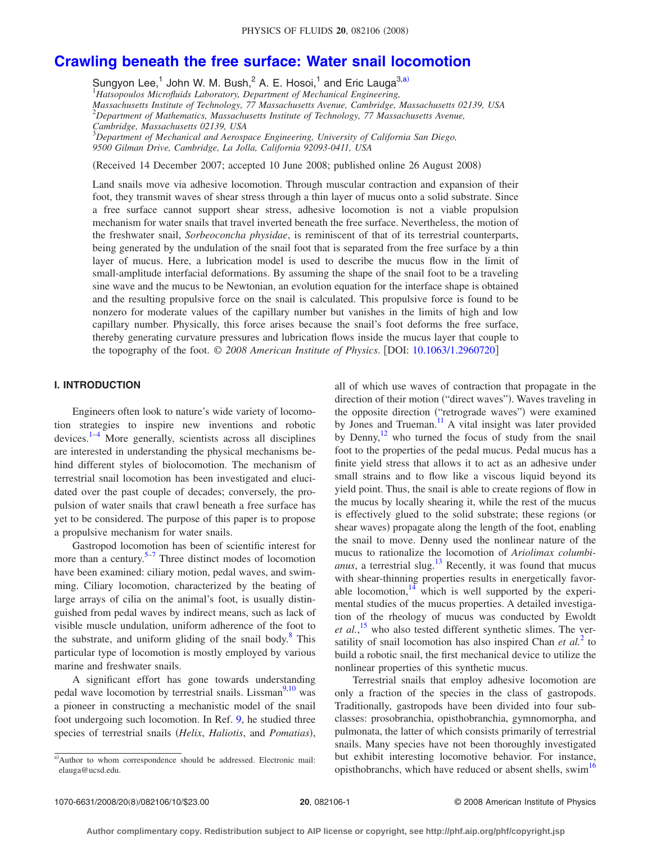# **[Crawling beneath the free surface: Water snail locomotion](http://dx.doi.org/10.1063/1.2960720)**

Sungyon Lee,<sup>1</sup> John W. M. Bush,<sup>2</sup> A. E. Hosoi,<sup>1</sup> and Eric Lauga<sup>3[,a](#page-0-0))</sup> 1 *Hatsopoulos Microfluids Laboratory, Department of Mechanical Engineering, Massachusetts Institute of Technology, 77 Massachusetts Avenue, Cambridge, Massachusetts 02139, USA* 2 *Department of Mathematics, Massachusetts Institute of Technology, 77 Massachusetts Avenue, Cambridge, Massachusetts 02139, USA* 3 *Department of Mechanical and Aerospace Engineering, University of California San Diego, 9500 Gilman Drive, Cambridge, La Jolla, California 92093-0411, USA*

Received 14 December 2007; accepted 10 June 2008; published online 26 August 2008-

Land snails move via adhesive locomotion. Through muscular contraction and expansion of their foot, they transmit waves of shear stress through a thin layer of mucus onto a solid substrate. Since a free surface cannot support shear stress, adhesive locomotion is not a viable propulsion mechanism for water snails that travel inverted beneath the free surface. Nevertheless, the motion of the freshwater snail, *Sorbeoconcha physidae*, is reminiscent of that of its terrestrial counterparts, being generated by the undulation of the snail foot that is separated from the free surface by a thin layer of mucus. Here, a lubrication model is used to describe the mucus flow in the limit of small-amplitude interfacial deformations. By assuming the shape of the snail foot to be a traveling sine wave and the mucus to be Newtonian, an evolution equation for the interface shape is obtained and the resulting propulsive force on the snail is calculated. This propulsive force is found to be nonzero for moderate values of the capillary number but vanishes in the limits of high and low capillary number. Physically, this force arises because the snail's foot deforms the free surface, thereby generating curvature pressures and lubrication flows inside the mucus layer that couple to the topography of the foot. © *2008 American Institute of Physics*. DOI: [10.1063/1.2960720](http://dx.doi.org/10.1063/1.2960720)

# **I. INTRODUCTION**

Engineers often look to nature's wide variety of locomotion strategies to inspire new inventions and robotic devices. $1-4$  $1-4$  More generally, scientists across all disciplines are interested in understanding the physical mechanisms behind different styles of biolocomotion. The mechanism of terrestrial snail locomotion has been investigated and elucidated over the past couple of decades; conversely, the propulsion of water snails that crawl beneath a free surface has yet to be considered. The purpose of this paper is to propose a propulsive mechanism for water snails.

Gastropod locomotion has been of scientific interest for more than a century.<sup>5–[7](#page-9-3)</sup> Three distinct modes of locomotion have been examined: ciliary motion, pedal waves, and swimming. Ciliary locomotion, characterized by the beating of large arrays of cilia on the animal's foot, is usually distinguished from pedal waves by indirect means, such as lack of visible muscle undulation, uniform adherence of the foot to the substrate, and uniform gliding of the snail body. $8$  This particular type of locomotion is mostly employed by various marine and freshwater snails.

A significant effort has gone towards understanding pedal wave locomotion by terrestrial snails. Lissman<sup>9,[10](#page-9-6)</sup> was a pioneer in constructing a mechanistic model of the snail foot undergoing such locomotion. In Ref. [9,](#page-9-5) he studied three species of terrestrial snails (Helix, Haliotis, and Pomatias),

all of which use waves of contraction that propagate in the direction of their motion ("direct waves"). Waves traveling in the opposite direction ("retrograde waves") were examined by Jones and Trueman.<sup>11</sup> A vital insight was later provided by Denny, $12$  who turned the focus of study from the snail foot to the properties of the pedal mucus. Pedal mucus has a finite yield stress that allows it to act as an adhesive under small strains and to flow like a viscous liquid beyond its yield point. Thus, the snail is able to create regions of flow in the mucus by locally shearing it, while the rest of the mucus is effectively glued to the solid substrate; these regions (or shear waves) propagate along the length of the foot, enabling the snail to move. Denny used the nonlinear nature of the mucus to rationalize the locomotion of *Ariolimax columbianus*, a terrestrial slug.<sup>13</sup> Recently, it was found that mucus with shear-thinning properties results in energetically favorable locomotion, $14$  which is well supported by the experimental studies of the mucus properties. A detailed investigation of the rheology of mucus was conducted by Ewoldt et al.,<sup>[15](#page-9-11)</sup> who also tested different synthetic slimes. The versatility of snail locomotion has also inspired Chan *et al.*<sup>[2](#page-9-12)</sup> to build a robotic snail, the first mechanical device to utilize the nonlinear properties of this synthetic mucus.

Terrestrial snails that employ adhesive locomotion are only a fraction of the species in the class of gastropods. Traditionally, gastropods have been divided into four subclasses: prosobranchia, opisthobranchia, gymnomorpha, and pulmonata, the latter of which consists primarily of terrestrial snails. Many species have not been thoroughly investigated but exhibit interesting locomotive behavior. For instance, opisthobranchs, which have reduced or absent shells, swim<sup>16</sup>

<span id="page-0-0"></span>a)Author to whom correspondence should be addressed. Electronic mail: elauga@ucsd.edu.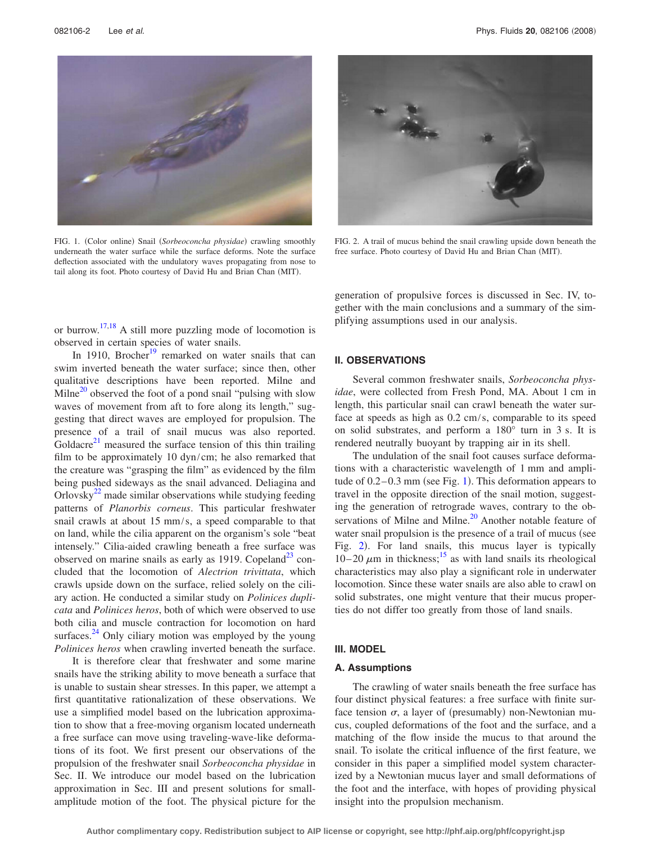<span id="page-1-0"></span>

FIG. 1. (Color online) Snail (Sorbeoconcha physidae) crawling smoothly underneath the water surface while the surface deforms. Note the surface deflection associated with the undulatory waves propagating from nose to tail along its foot. Photo courtesy of David Hu and Brian Chan (MIT).

<span id="page-1-1"></span>

FIG. 2. A trail of mucus behind the snail crawling upside down beneath the free surface. Photo courtesy of David Hu and Brian Chan (MIT).

or burrow[.17,](#page-9-14)[18](#page-9-15) A still more puzzling mode of locomotion is observed in certain species of water snails.

In 1910, Brocher<sup>19</sup> remarked on water snails that can swim inverted beneath the water surface; since then, other qualitative descriptions have been reported. Milne and Milne<sup>20</sup> observed the foot of a pond snail "pulsing with slow waves of movement from aft to fore along its length," suggesting that direct waves are employed for propulsion. The presence of a trail of snail mucus was also reported. Goldacre $^{21}$  measured the surface tension of this thin trailing film to be approximately 10 dyn/cm; he also remarked that the creature was "grasping the film" as evidenced by the film being pushed sideways as the snail advanced. Deliagina and Orlovsky $^{22}$  made similar observations while studying feeding patterns of *Planorbis corneus*. This particular freshwater snail crawls at about 15 mm/s, a speed comparable to that on land, while the cilia apparent on the organism's sole "beat intensely." Cilia-aided crawling beneath a free surface was observed on marine snails as early as 1919. Copeland $^{23}$  concluded that the locomotion of *Alectrion trivittata*, which crawls upside down on the surface, relied solely on the ciliary action. He conducted a similar study on *Polinices duplicata* and *Polinices heros*, both of which were observed to use both cilia and muscle contraction for locomotion on hard surfaces. $24$  Only ciliary motion was employed by the young *Polinices heros* when crawling inverted beneath the surface.

It is therefore clear that freshwater and some marine snails have the striking ability to move beneath a surface that is unable to sustain shear stresses. In this paper, we attempt a first quantitative rationalization of these observations. We use a simplified model based on the lubrication approximation to show that a free-moving organism located underneath a free surface can move using traveling-wave-like deformations of its foot. We first present our observations of the propulsion of the freshwater snail *Sorbeoconcha physidae* in Sec. II. We introduce our model based on the lubrication approximation in Sec. III and present solutions for smallamplitude motion of the foot. The physical picture for the generation of propulsive forces is discussed in Sec. IV, together with the main conclusions and a summary of the simplifying assumptions used in our analysis.

#### **II. OBSERVATIONS**

Several common freshwater snails, *Sorbeoconcha physidae*, were collected from Fresh Pond, MA. About 1 cm in length, this particular snail can crawl beneath the water surface at speeds as high as 0.2 cm/s, comparable to its speed on solid substrates, and perform a 180° turn in 3 s. It is rendered neutrally buoyant by trapping air in its shell.

The undulation of the snail foot causes surface deformations with a characteristic wavelength of 1 mm and amplitude of  $0.2-0.3$  mm (see Fig. [1](#page-1-0)). This deformation appears to travel in the opposite direction of the snail motion, suggesting the generation of retrograde waves, contrary to the observations of Milne and Milne. $2<sup>0</sup>$  Another notable feature of water snail propulsion is the presence of a trail of mucus (see Fig. [2](#page-1-1)). For land snails, this mucus layer is typically  $10-20 \mu m$  in thickness; <sup>15</sup> as with land snails its rheological characteristics may also play a significant role in underwater locomotion. Since these water snails are also able to crawl on solid substrates, one might venture that their mucus properties do not differ too greatly from those of land snails.

# **III. MODEL**

#### **A. Assumptions**

The crawling of water snails beneath the free surface has four distinct physical features: a free surface with finite surface tension  $\sigma$ , a layer of (presumably) non-Newtonian mucus, coupled deformations of the foot and the surface, and a matching of the flow inside the mucus to that around the snail. To isolate the critical influence of the first feature, we consider in this paper a simplified model system characterized by a Newtonian mucus layer and small deformations of the foot and the interface, with hopes of providing physical insight into the propulsion mechanism.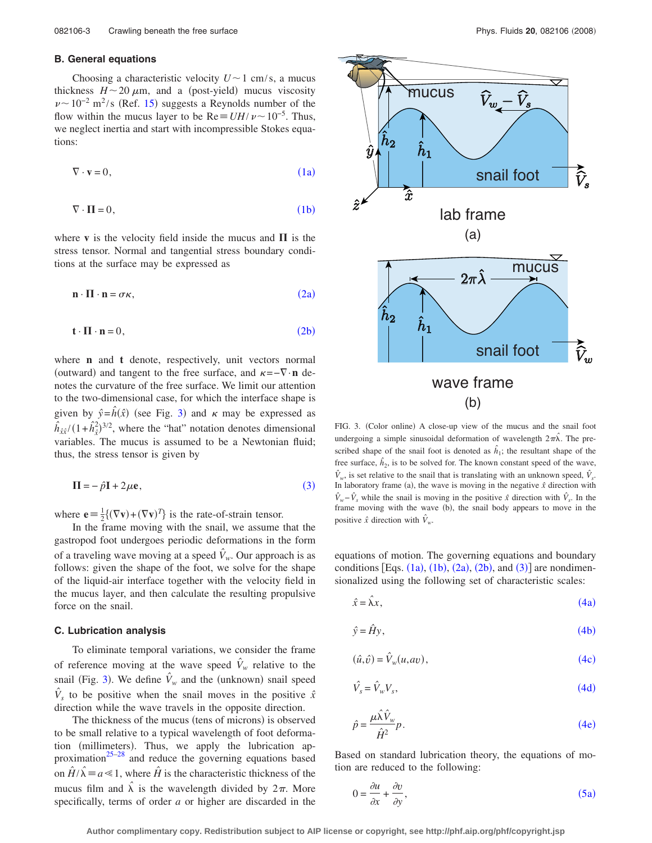# **B. General equations**

Choosing a characteristic velocity  $U \sim 1$  cm/s, a mucus thickness  $H \sim 20 \mu m$ , and a (post-yield) mucus viscosity  $\nu \sim 10^{-2}$  m<sup>2</sup>/s (Ref. [15](#page-9-11)) suggests a Reynolds number of the flow within the mucus layer to be  $\text{Re} = UH/\nu \sim 10^{-5}$ . Thus, we neglect inertia and start with incompressible Stokes equations:

<span id="page-2-0"></span>
$$
\nabla \cdot \mathbf{v} = 0,\tag{1a}
$$

<span id="page-2-1"></span>
$$
\nabla \cdot \mathbf{\Pi} = 0,\tag{1b}
$$

where **v** is the velocity field inside the mucus and  $\Pi$  is the stress tensor. Normal and tangential stress boundary conditions at the surface may be expressed as

<span id="page-2-2"></span>
$$
\mathbf{n} \cdot \mathbf{\Pi} \cdot \mathbf{n} = \sigma \kappa,\tag{2a}
$$

<span id="page-2-3"></span>
$$
\mathbf{t} \cdot \mathbf{\Pi} \cdot \mathbf{n} = 0,\tag{2b}
$$

where **n** and **t** denote, respectively, unit vectors normal (outward) and tangent to the free surface, and  $\kappa = -\nabla \cdot \mathbf{n}$  denotes the curvature of the free surface. We limit our attention to the two-dimensional case, for which the interface shape is given by  $\hat{y} = \hat{h}(\hat{x})$  (see Fig. [3](#page-2-4)) and  $\kappa$  may be expressed as  $\hat{h}_{\hat{x}\hat{x}}$ / $(1+\hat{h}_{\hat{x}}^2)^{3/2}$ , where the "hat" notation denotes dimensional variables. The mucus is assumed to be a Newtonian fluid; thus, the stress tensor is given by

<span id="page-2-5"></span>
$$
\mathbf{\Pi} = -\hat{p}\mathbf{I} + 2\mu\mathbf{e},\tag{3}
$$

where  $\mathbf{e} = \frac{1}{2} \{ (\nabla \mathbf{v}) + (\nabla \mathbf{v})^T \}$  is the rate-of-strain tensor.

In the frame moving with the snail, we assume that the gastropod foot undergoes periodic deformations in the form of a traveling wave moving at a speed  $\hat{V}_w$ . Our approach is as follows: given the shape of the foot, we solve for the shape of the liquid-air interface together with the velocity field in the mucus layer, and then calculate the resulting propulsive force on the snail.

# **C. Lubrication analysis**

To eliminate temporal variations, we consider the frame of reference moving at the wave speed  $\hat{V}_w$  relative to the snail (Fig. [3](#page-2-4)). We define  $\hat{V}_w$  and the (unknown) snail speed  $\hat{V}_s$  to be positive when the snail moves in the positive  $\hat{x}$ direction while the wave travels in the opposite direction.

The thickness of the mucus (tens of microns) is observed to be small relative to a typical wavelength of foot deformation (millimeters). Thus, we apply the lubrication ap-proximation<sup>25[–28](#page-9-23)</sup> and reduce the governing equations based on  $\hat{H}/\hat{\lambda} \equiv a \ll 1$ , where  $\hat{H}$  is the characteristic thickness of the mucus film and  $\hat{\lambda}$  is the wavelength divided by  $2\pi$ . More specifically, terms of order *a* or higher are discarded in the

<span id="page-2-4"></span>

FIG. 3. (Color online) A close-up view of the mucus and the snail foot undergoing a simple sinusoidal deformation of wavelength  $2\pi\hat{\lambda}$ . The prescribed shape of the snail foot is denoted as  $\hat{h}_1$ ; the resultant shape of the free surface,  $\hat{h}_2$ , is to be solved for. The known constant speed of the wave,  $\hat{V}_w$ , is set relative to the snail that is translating with an unknown speed,  $\hat{V}_s$ . In laboratory frame (a), the wave is moving in the negative  $\hat{x}$  direction with  $\hat{V}_w - \hat{V}_s$  while the snail is moving in the positive  $\hat{x}$  direction with  $\hat{V}_s$ . In the frame moving with the wave (b), the snail body appears to move in the positive  $\hat{x}$  direction with  $\hat{V}_w$ .

equations of motion. The governing equations and boundary conditions [Eqs.  $(1a)$  $(1a)$  $(1a)$ ,  $(1b)$  $(1b)$  $(1b)$ ,  $(2a)$  $(2a)$  $(2a)$ ,  $(2b)$  $(2b)$  $(2b)$ , and  $(3)$  $(3)$  $(3)$ ] are nondimensionalized using the following set of characteristic scales:

<span id="page-2-6"></span>
$$
\hat{x} = \hat{\lambda}x,\tag{4a}
$$

<span id="page-2-7"></span>
$$
\hat{y} = \hat{H}y,\tag{4b}
$$

<span id="page-2-8"></span>
$$
(\hat{u}, \hat{v}) = \hat{V}_w(u, av), \qquad (4c)
$$

<span id="page-2-9"></span>
$$
\hat{V}_s = \hat{V}_w V_s,\tag{4d}
$$

<span id="page-2-10"></span>
$$
\hat{p} = \frac{\mu \hat{\lambda} \hat{V}_w}{\hat{H}^2} p.
$$
\n(4e)

Based on standard lubrication theory, the equations of motion are reduced to the following:

<span id="page-2-11"></span>
$$
0 = \frac{\partial u}{\partial x} + \frac{\partial v}{\partial y},\tag{5a}
$$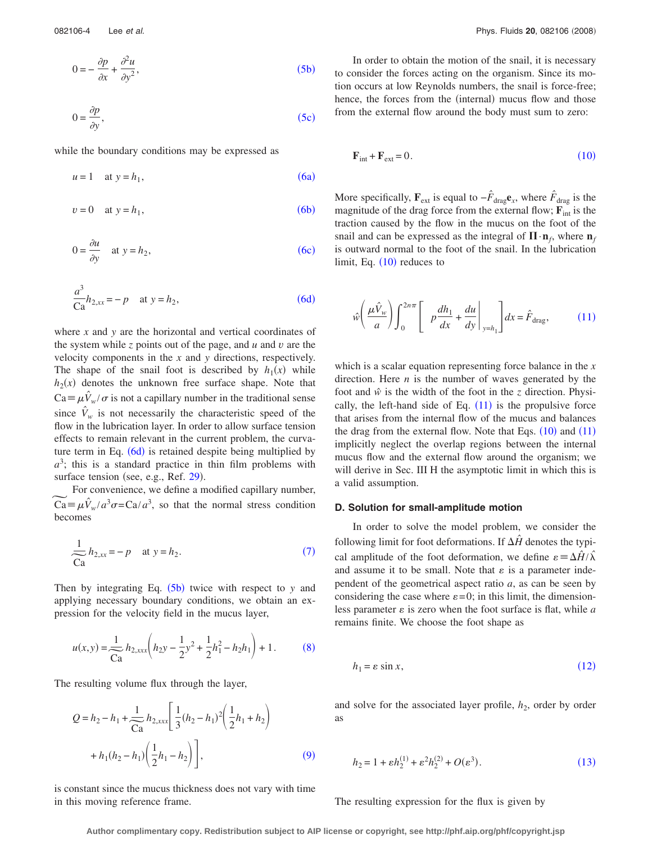<span id="page-3-0"></span>
$$
0 = -\frac{\partial p}{\partial x} + \frac{\partial^2 u}{\partial y^2},\tag{5b}
$$

<span id="page-3-1"></span>
$$
0 = \frac{\partial p}{\partial y},\tag{5c}
$$

<span id="page-3-2"></span>while the boundary conditions may be expressed as

$$
u = 1 \quad \text{at } y = h_1,\tag{6a}
$$

<span id="page-3-3"></span>
$$
v = 0 \quad \text{at } y = h_1,\tag{6b}
$$

<span id="page-3-4"></span>
$$
0 = \frac{\partial u}{\partial y} \quad \text{at } y = h_2,\tag{6c}
$$

<span id="page-3-5"></span>
$$
\frac{a^3}{Ca}h_{2,xx} = -p \quad \text{at } y = h_2,
$$
 (6d)

where *x* and *y* are the horizontal and vertical coordinates of the system while *z* points out of the page, and *u* and *v* are the velocity components in the *x* and *y* directions, respectively. The shape of the snail foot is described by  $h_1(x)$  while  $h_2(x)$  denotes the unknown free surface shape. Note that  $Ca = \mu \hat{V}_w / \sigma$  is not a capillary number in the traditional sense since  $\hat{V}_w$  is not necessarily the characteristic speed of the flow in the lubrication layer. In order to allow surface tension effects to remain relevant in the current problem, the curva-ture term in Eq. ([6d](#page-3-5)) is retained despite being multiplied by  $a^3$ ; this is a standard practice in thin film problems with surface tension (see, e.g., Ref. [29](#page-9-24)).

For convenience, we define a modified capillary number,  $\widetilde{Ca} = \mu \hat{V}_w / a^3 \sigma = \frac{Ca}{a^3}$ , so that the normal stress condition becomes

<span id="page-3-6"></span>
$$
\frac{1}{Ca}h_{2,xx} = -p \quad \text{at } y = h_2. \tag{7}
$$

Then by integrating Eq.  $(5b)$  $(5b)$  $(5b)$  twice with respect to  $y$  and applying necessary boundary conditions, we obtain an expression for the velocity field in the mucus layer,

<span id="page-3-7"></span>
$$
u(x,y) = \frac{1}{\widehat{\text{Ca}}} h_{2,xxx} \left( h_2 y - \frac{1}{2} y^2 + \frac{1}{2} h_1^2 - h_2 h_1 \right) + 1. \tag{8}
$$

<span id="page-3-8"></span>The resulting volume flux through the layer,

$$
Q = h_2 - h_1 + \frac{1}{Ca} h_{2,xxx} \left[ \frac{1}{3} (h_2 - h_1)^2 \left( \frac{1}{2} h_1 + h_2 \right) + h_1 (h_2 - h_1) \left( \frac{1}{2} h_1 - h_2 \right) \right],
$$
 (9)

is constant since the mucus thickness does not vary with time in this moving reference frame.

In order to obtain the motion of the snail, it is necessary to consider the forces acting on the organism. Since its motion occurs at low Reynolds numbers, the snail is force-free; hence, the forces from the (internal) mucus flow and those from the external flow around the body must sum to zero:

<span id="page-3-9"></span>
$$
\mathbf{F}_{\text{int}} + \mathbf{F}_{\text{ext}} = 0. \tag{10}
$$

More specifically,  $\mathbf{F}_{ext}$  is equal to  $-\hat{F}_{drag}\mathbf{e}_x$ , where  $\hat{F}_{drag}$  is the magnitude of the drag force from the external flow;  $\mathbf{F}_{int}$  is the traction caused by the flow in the mucus on the foot of the snail and can be expressed as the integral of  $\Pi \cdot \mathbf{n}_f$ , where  $\mathbf{n}_f$ is outward normal to the foot of the snail. In the lubrication limit, Eq. ([10](#page-3-9)) reduces to

<span id="page-3-10"></span>
$$
\hat{w}\left(\frac{\mu\hat{V}_w}{a}\right)\int_0^{2n\pi} \left[ p\frac{dh_1}{dx} + \frac{du}{dy} \bigg|_{y=h_1} \right] dx = \hat{F}_{\text{drag}},\tag{11}
$$

which is a scalar equation representing force balance in the *x* direction. Here *n* is the number of waves generated by the foot and  $\hat{w}$  is the width of the foot in the *z* direction. Physically, the left-hand side of Eq.  $(11)$  $(11)$  $(11)$  is the propulsive force that arises from the internal flow of the mucus and balances the drag from the external flow. Note that Eqs.  $(10)$  $(10)$  $(10)$  and  $(11)$  $(11)$  $(11)$ implicitly neglect the overlap regions between the internal mucus flow and the external flow around the organism; we will derive in Sec. III H the asymptotic limit in which this is a valid assumption.

#### **D. Solution for small-amplitude motion**

In order to solve the model problem, we consider the following limit for foot deformations. If  $\Delta \hat{H}$  denotes the typical amplitude of the foot deformation, we define  $\varepsilon = \Delta \hat{H} / \hat{\lambda}$ and assume it to be small. Note that  $\varepsilon$  is a parameter independent of the geometrical aspect ratio *a*, as can be seen by considering the case where  $\varepsilon = 0$ ; in this limit, the dimensionless parameter  $\varepsilon$  is zero when the foot surface is flat, while  $a$ remains finite. We choose the foot shape as

<span id="page-3-11"></span>
$$
h_1 = \varepsilon \sin x,\tag{12}
$$

and solve for the associated layer profile,  $h_2$ , order by order as

<span id="page-3-12"></span>
$$
h_2 = 1 + \varepsilon h_2^{(1)} + \varepsilon^2 h_2^{(2)} + O(\varepsilon^3). \tag{13}
$$

The resulting expression for the flux is given by

**Author complimentary copy. Redistribution subject to AIP license or copyright, see http://phf.aip.org/phf/copyright.jsp**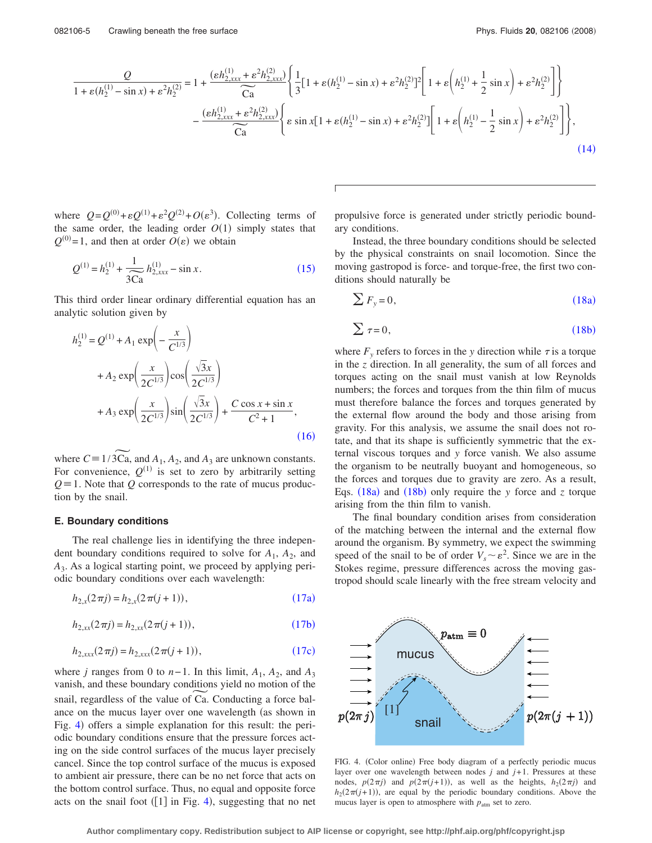<span id="page-4-0"></span>
$$
\frac{Q}{1 + \varepsilon (h_2^{(1)} - \sin x) + \varepsilon^2 h_2^{(2)}} = 1 + \frac{(\varepsilon h_{2,xxx}^{(1)} + \varepsilon^2 h_{2,xxx}^{(2)})}{\widetilde{Ca}} \left\{ \frac{1}{3} [1 + \varepsilon (h_2^{(1)} - \sin x) + \varepsilon^2 h_2^{(2)}]^2 \left[ 1 + \varepsilon \left( h_2^{(1)} + \frac{1}{2} \sin x \right) + \varepsilon^2 h_2^{(2)} \right] \right\}
$$

$$
- \frac{(\varepsilon h_{2,xxx}^{(1)} + \varepsilon^2 h_{2,xxx}^{(2)})}{\widetilde{Ca}} \left\{ \varepsilon \sin x [1 + \varepsilon (h_2^{(1)} - \sin x) + \varepsilon^2 h_2^{(2)}] \left[ 1 + \varepsilon \left( h_2^{(1)} - \frac{1}{2} \sin x \right) + \varepsilon^2 h_2^{(2)} \right] \right\},\tag{14}
$$

where  $Q = Q^{(0)} + \varepsilon Q^{(1)} + \varepsilon^2 Q^{(2)} + O(\varepsilon^3)$ . Collecting terms of the same order, the leading order  $O(1)$  simply states that

<span id="page-4-1"></span>
$$
Q^{(0)} = 1, \text{ and then at order } O(\varepsilon) \text{ we obtain}
$$
  

$$
Q^{(1)} = h_2^{(1)} + \frac{1}{3\widehat{Ca}} h_{2,xxx}^{(1)} - \sin x.
$$
 (15)

This third order linear ordinary differential equation has an analytic solution given by

<span id="page-4-2"></span>
$$
h_2^{(1)} = Q^{(1)} + A_1 \exp\left(-\frac{x}{C^{1/3}}\right)
$$
  
+  $A_2 \exp\left(\frac{x}{2C^{1/3}}\right) \cos\left(\frac{\sqrt{3}x}{2C^{1/3}}\right)$   
+  $A_3 \exp\left(\frac{x}{2C^{1/3}}\right) \sin\left(\frac{\sqrt{3}x}{2C^{1/3}}\right) + \frac{C \cos x + \sin x}{C^2 + 1}$ , (16)

where  $C \equiv 1/3Ca$ , and  $A_1$ ,  $A_2$ , and  $A_3$  are unknown constants. For convenience,  $Q^{(1)}$  is set to zero by arbitrarily setting  $Q=1$ . Note that *Q* corresponds to the rate of mucus production by the snail.

#### **E. Boundary conditions**

The real challenge lies in identifying the three independent boundary conditions required to solve for *A*1, *A*2, and *A*3. As a logical starting point, we proceed by applying periodic boundary conditions over each wavelength:

<span id="page-4-3"></span>
$$
h_{2,x}(2\pi j) = h_{2,x}(2\pi (j+1)),
$$
\n(17a)

<span id="page-4-4"></span>
$$
h_{2,xx}(2\pi j) = h_{2,xx}(2\pi (j+1)),
$$
\n(17b)

$$
h_{2,xxx}(2\pi j) = h_{2,xxx}(2\pi (j+1)),
$$
\n(17c)

<span id="page-4-5"></span>where *j* ranges from 0 to  $n-1$ . In this limit,  $A_1$ ,  $A_2$ , and  $A_3$ vanish, and these boundary conditions yield no motion of the where *j* ranges from 0 to  $n-1$ . In this limit,  $A_1$ ,  $A_2$ , and  $A_3$  vanish, and these boundary conditions yield no motion of the snail, regardless of the value of  $\overline{Ca}$ . Conducting a force balance on the mucus layer over one wavelength (as shown in Fig. [4](#page-4-6)) offers a simple explanation for this result: the periodic boundary conditions ensure that the pressure forces acting on the side control surfaces of the mucus layer precisely cancel. Since the top control surface of the mucus is exposed to ambient air pressure, there can be no net force that acts on the bottom control surface. Thus, no equal and opposite force acts on the snail foot  $(1]$  in Fig. [4](#page-4-6)), suggesting that no net

propulsive force is generated under strictly periodic boundary conditions.

Instead, the three boundary conditions should be selected by the physical constraints on snail locomotion. Since the moving gastropod is force- and torque-free, the first two conditions should naturally be

<span id="page-4-7"></span>
$$
\sum F_y = 0,\tag{18a}
$$

<span id="page-4-8"></span>
$$
\sum \tau = 0,\tag{18b}
$$

where  $F_y$  refers to forces in the *y* direction while  $\tau$  is a torque in the *z* direction. In all generality, the sum of all forces and torques acting on the snail must vanish at low Reynolds numbers; the forces and torques from the thin film of mucus must therefore balance the forces and torques generated by the external flow around the body and those arising from gravity. For this analysis, we assume the snail does not rotate, and that its shape is sufficiently symmetric that the external viscous torques and *y* force vanish. We also assume the organism to be neutrally buoyant and homogeneous, so the forces and torques due to gravity are zero. As a result, Eqs.  $(18a)$  $(18a)$  $(18a)$  and  $(18b)$  $(18b)$  $(18b)$  only require the *y* force and *z* torque arising from the thin film to vanish.

The final boundary condition arises from consideration of the matching between the internal and the external flow around the organism. By symmetry, we expect the swimming speed of the snail to be of order  $V_s \sim \varepsilon^2$ . Since we are in the Stokes regime, pressure differences across the moving gastropod should scale linearly with the free stream velocity and

<span id="page-4-6"></span>

FIG. 4. (Color online) Free body diagram of a perfectly periodic mucus layer over one wavelength between nodes *j* and *j*+ 1. Pressures at these nodes,  $p(2\pi j)$  and  $p(2\pi (j+1))$ , as well as the heights,  $h_2(2\pi j)$  and  $h_2(2\pi(j+1))$ , are equal by the periodic boundary conditions. Above the mucus layer is open to atmosphere with  $p_{\text{atm}}$  set to zero.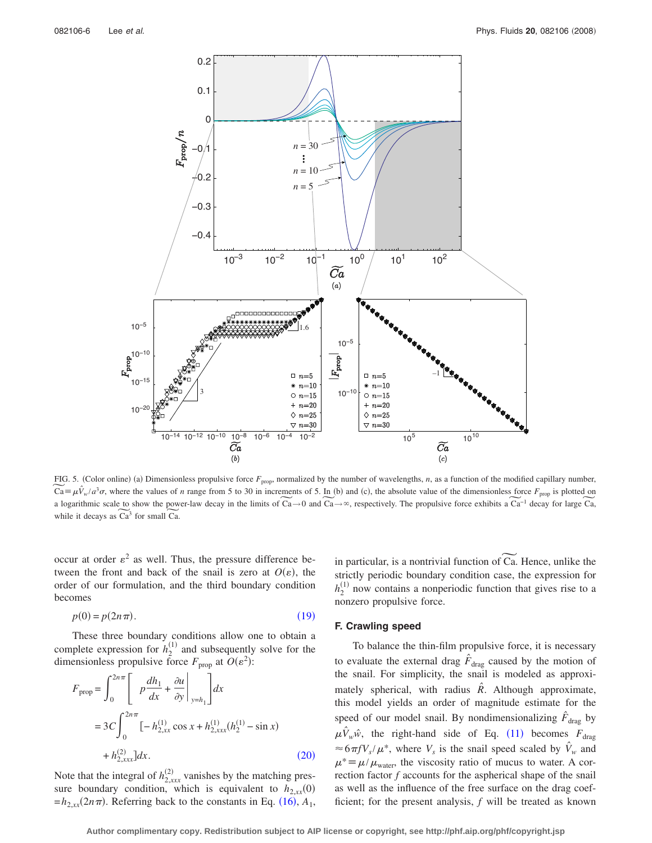<span id="page-5-2"></span>

FIG. 5. (Color online) (a) Dimensionless propulsive force  $F_{\text{prop}}$ , normalized by the number of wavelengths, *n*, as a function of the modified capillary number,  $\widetilde{Ca} = \mu \hat{V}_w/a^3 \sigma$ , where the values of *n* range fro  $\widetilde{Ca} = \mu \hat{V}_w/a^3 \sigma$ , where the values of *n* range from 5 to 30 in increments of 5. In (b) and (c), the absolute value of the dimensionless force  $F_{prop}$  is plotted on a logarithmic scale to show the power-law decay in

occur at order  $\varepsilon^2$  as well. Thus, the pressure difference between the front and back of the snail is zero at  $O(\varepsilon)$ , the order of our formulation, and the third boundary condition becomes

$$
p(0) = p(2n\pi). \tag{19}
$$

<span id="page-5-0"></span>These three boundary conditions allow one to obtain a complete expression for  $h_2^{(1)}$  and subsequently solve for the dimensionless propulsive force  $F_{\text{prop}}$  at  $O(\varepsilon^2)$ :

<span id="page-5-1"></span>
$$
F_{\text{prop}} = \int_0^{2n\pi} \left[ p \frac{dh_1}{dx} + \frac{\partial u}{\partial y} \Big|_{y=h_1} \right] dx
$$
  
=  $3C \int_0^{2n\pi} \left[ -h_{2,xx}^{(1)} \cos x + h_{2,xxx}^{(1)} (h_2^{(1)} - \sin x) + h_{2,xxx}^{(2)} \right] dx.$  (20)

Note that the integral of  $h_{2,xxx}^{(2)}$  vanishes by the matching pressure boundary condition, which is equivalent to  $h_{2,xx}(0)$  $=h_{2,xx}(2n\pi)$ . Referring back to the constants in Eq. ([16](#page-4-2)),  $A_1$ , in particular, is a nontrivial function of Ca . Hence, unlike the strictly periodic boundary condition case, the expression for  $h_2^{(1)}$  now contains a nonperiodic function that gives rise to a nonzero propulsive force.

## **F. Crawling speed**

To balance the thin-film propulsive force, it is necessary to evaluate the external drag  $\hat{F}_{drag}$  caused by the motion of the snail. For simplicity, the snail is modeled as approximately spherical, with radius  $\hat{R}$ . Although approximate, this model yields an order of magnitude estimate for the speed of our model snail. By nondimensionalizing  $\hat{F}_{drag}$  by  $\mu \hat{V}_w \hat{w}$ , the right-hand side of Eq. ([11](#page-3-10)) becomes  $F_{drag}$  $\approx 6\pi fV_s/\mu^*$ , where  $V_s$  is the snail speed scaled by  $\hat{V}_w$  and  $\mu^* = \mu / \mu_{\text{water}}$ , the viscosity ratio of mucus to water. A correction factor *f* accounts for the aspherical shape of the snail as well as the influence of the free surface on the drag coefficient; for the present analysis, *f* will be treated as known

**Author complimentary copy. Redistribution subject to AIP license or copyright, see http://phf.aip.org/phf/copyright.jsp**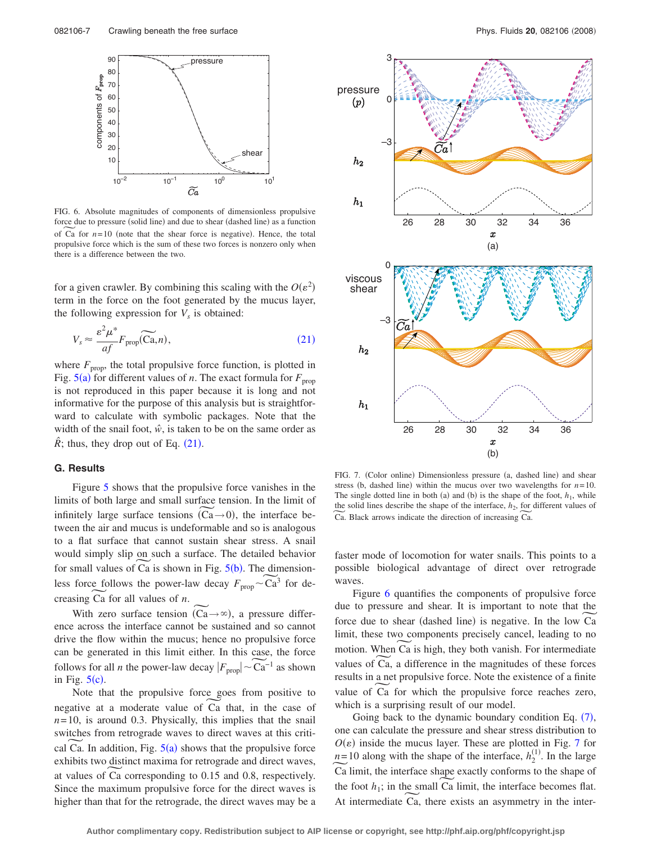<span id="page-6-1"></span>

FIG. 6. Absolute magnitudes of components of dimensionless propulsive force due to pressure (solid line) and due to shear (dashed line) as a function FIG. 6. Absolute magnitudes of components of dimensionless propulsive force due to pressure (solid line) and due to shear (dashed line) as a function of  $\overline{Ca}$  for  $n=10$  (note that the shear force is negative). Hence, propulsive force which is the sum of these two forces is nonzero only when there is a difference between the two.

for a given crawler. By combining this scaling with the  $O(\varepsilon^2)$ term in the force on the foot generated by the mucus layer, the following expression for  $V<sub>s</sub>$  is obtained:

<span id="page-6-0"></span>
$$
V_s \approx \frac{\varepsilon^2 \mu^*}{af} F_{\text{prop}}(\widetilde{\text{Ca}}, n),\tag{21}
$$

where  $F_{\text{prop}}$ , the total propulsive force function, is plotted in Fig.  $5(a)$  $5(a)$  for different values of *n*. The exact formula for  $F_{\text{prop}}$ is not reproduced in this paper because it is long and not informative for the purpose of this analysis but is straightforward to calculate with symbolic packages. Note that the width of the snail foot,  $\hat{w}$ , is taken to be on the same order as  $\hat{R}$ ; thus, they drop out of Eq. ([21](#page-6-0)).

## **G. Results**

Figure [5](#page-5-2) shows that the propulsive force vanishes in the limits of both large and small surface tension. In the limit of infinitely large surface tensions  $(Ca \rightarrow 0)$ , the interface be- $\mathbb{R}^2$ tween the air and mucus is undeformable and so is analogous to a flat surface that cannot sustain shear stress. A snail would simply slip on such a surface. The detailed behavior tween the air and mucus is underormable and so is analogous<br>to a flat surface that cannot sustain shear stress. A snail<br>would simply slip on such a surface. The detailed behavior<br>for small values of Ca is shown in Fig. [5](#page-5-2)(b would simply slip on such a surface. The detailed behavior<br>for small values of  $\overline{C}$ a is shown in Fig. 5(b). The dimension-<br>less force follows the power-law decay  $F_{\text{prop}} \sim \overline{C}$ a<sup>3</sup> for defor small values of  $\widetilde{Ca}$  is shown<br>less force follows the power-la<br>creasing  $\widetilde{Ca}$  for all values of *n*.  $\overline{a}$ 

With zero surface tension  $(Ca \rightarrow \infty)$ , a pressure difference across the interface cannot be sustained and so cannot drive the flow within the mucus; hence no propulsive force can be generated in this limit either. In this case, the force follows for all *n* the power-law decay  $|F_{\text{prop}}| \sim \widetilde{\text{Ca}}^{-1}$  as shown in Fig.  $5(c)$  $5(c)$ .

Note that the propulsive force goes from positive to negative at a moderate value of Ca that, in the case of *n*= 10, is around 0.3. Physically, this implies that the snail switches from retrograde waves to direct waves at this critimeganve at a moderate van<br>  $n=10$ , is around 0.3. Physic<br>
switches from retrograde wa<br>
cal Ca. In addition, Fig. [5](#page-5-2)(a) ) shows that the propulsive force exhibits two distinct maxima for retrograde and direct waves, cal Ca. In addition, Fig.  $5(a)$  shows that the propulsive force<br>exhibits two distinct maxima for retrograde and direct waves,<br>at values of Ca corresponding to 0.15 and 0.8, respectively. Since the maximum propulsive force for the direct waves is higher than that for the retrograde, the direct waves may be a

<span id="page-6-2"></span>

FIG. 7. (Color online) Dimensionless pressure (a, dashed line) and shear stress (b, dashed line) within the mucus over two wavelengths for  $n=10$ . The single dotted line in both (a) and (b) is the shape of the foot,  $h_1$ , while the solid lines describe the shape of the interface,  $h<sub>2</sub>$ , for different values of Ca. Black arrows indicate the direction of increasing  $\widetilde{Ca}$ .

faster mode of locomotion for water snails. This points to a possible biological advantage of direct over retrograde waves.

Figure [6](#page-6-1) quantifies the components of propulsive force due to pressure and shear. It is important to note that the Figure 6 quantifies the components of propulsive force<br>due to pressure and shear. It is important to note that the<br>force due to shear (dashed line) is negative. In the low  $\overline{Ca}$ limit, these two components precisely cancel, leading to no force due to shear (dashed line) is negative. In the low Ca limit, these two components precisely cancel, leading to no motion. When Ca is high, they both vanish. For intermediate limit, these two components precisely cancel, leading to no<br>motion. When Ca is high, they both vanish. For intermediate<br>values of Ca, a difference in the magnitudes of these forces results in a net propulsive force. Note the existence of a finite values of Ca, a difference in the magnitudes of these forces<br>results in a net propulsive force. Note the existence of a finite<br>value of Ca for which the propulsive force reaches zero, which is a surprising result of our model.

Going back to the dynamic boundary condition Eq.  $(7)$  $(7)$  $(7)$ , one can calculate the pressure and shear stress distribution to  $O(\varepsilon)$  inside the mucus layer. These are plotted in Fig. [7](#page-6-2) for  $n=10$  along with the shape of the interface,  $h_2^{(1)}$ . In the large Ca limit, the interface shape exactly conforms to the shape of the foot  $h_1$ ; in the small Ca limit, the interface becomes flat. Ca limit, the interface shape exactly conforms to the shape of the foot  $h_1$ ; in the small Ca limit, the interface becomes flat. At intermediate Ca, there exists an asymmetry in the inter-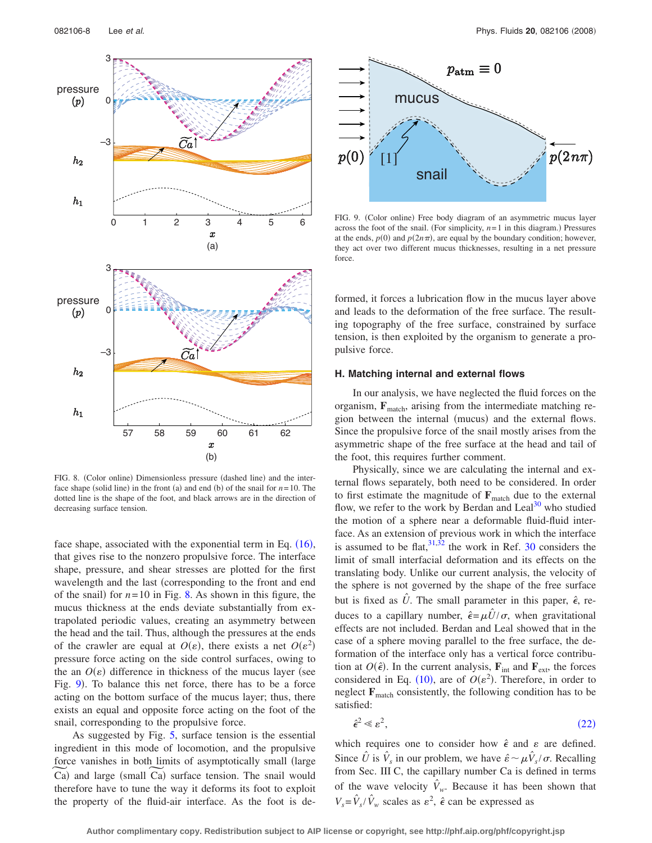<span id="page-7-0"></span>

FIG. 8. (Color online) Dimensionless pressure (dashed line) and the interface shape (solid line) in the front (a) and end (b) of the snail for  $n = 10$ . The dotted line is the shape of the foot, and black arrows are in the direction of decreasing surface tension.

face shape, associated with the exponential term in Eq.  $(16)$  $(16)$  $(16)$ , that gives rise to the nonzero propulsive force. The interface shape, pressure, and shear stresses are plotted for the first wavelength and the last (corresponding to the front and end of the snail) for  $n = 10$  in Fig. [8.](#page-7-0) As shown in this figure, the mucus thickness at the ends deviate substantially from extrapolated periodic values, creating an asymmetry between the head and the tail. Thus, although the pressures at the ends of the crawler are equal at  $O(\varepsilon)$ , there exists a net  $O(\varepsilon^2)$ pressure force acting on the side control surfaces, owing to the an  $O(\varepsilon)$  difference in thickness of the mucus layer (see Fig. [9](#page-7-1)). To balance this net force, there has to be a force acting on the bottom surface of the mucus layer; thus, there exists an equal and opposite force acting on the foot of the snail, corresponding to the propulsive force.

As suggested by Fig. [5,](#page-5-2) surface tension is the essential ingredient in this mode of locomotion, and the propulsive force vanishes in both limits of asymptotically small large As suggested by Fig.<br>ingredient in this mode of<br>force vanishes in both lin<br> $\overline{C}$ a) and large (small  $\overline{C}$ a) Ca) and large (small Ca) surface tension. The snail would therefore have to tune the way it deforms its foot to exploit the property of the fluid-air interface. As the foot is de-

<span id="page-7-1"></span>

FIG. 9. (Color online) Free body diagram of an asymmetric mucus layer across the foot of the snail. (For simplicity,  $n=1$  in this diagram.) Pressures at the ends,  $p(0)$  and  $p(2n\pi)$ , are equal by the boundary condition; however, they act over two different mucus thicknesses, resulting in a net pressure force.

formed, it forces a lubrication flow in the mucus layer above and leads to the deformation of the free surface. The resulting topography of the free surface, constrained by surface tension, is then exploited by the organism to generate a propulsive force.

# **H. Matching internal and external flows**

In our analysis, we have neglected the fluid forces on the organism,  $\mathbf{F}_{match}$ , arising from the intermediate matching region between the internal (mucus) and the external flows. Since the propulsive force of the snail mostly arises from the asymmetric shape of the free surface at the head and tail of the foot, this requires further comment.

Physically, since we are calculating the internal and external flows separately, both need to be considered. In order to first estimate the magnitude of  $\mathbf{F}_{match}$  due to the external flow, we refer to the work by Berdan and Leal $30$  who studied the motion of a sphere near a deformable fluid-fluid interface. As an extension of previous work in which the interface is assumed to be flat,  $31,32$  $31,32$  the work in Ref. [30](#page-9-25) considers the limit of small interfacial deformation and its effects on the translating body. Unlike our current analysis, the velocity of the sphere is not governed by the shape of the free surface but is fixed as *U*. The small parameter in this paper,  $\hat{\epsilon}$ , reduces to a capillary number,  $\hat{\epsilon} = \mu \hat{U}/\sigma$ , when gravitational effects are not included. Berdan and Leal showed that in the case of a sphere moving parallel to the free surface, the deformation of the interface only has a vertical force contribution at  $O(\hat{\epsilon})$ . In the current analysis,  $\mathbf{F}_{int}$  and  $\mathbf{F}_{ext}$ , the forces considered in Eq. ([10](#page-3-9)), are of  $O(\varepsilon^2)$ . Therefore, in order to neglect  $\mathbf{F}_{match}$  consistently, the following condition has to be satisfied:

$$
\hat{\epsilon}^2 \ll \varepsilon^2,\tag{22}
$$

<span id="page-7-2"></span>which requires one to consider how  $\hat{\epsilon}$  and  $\epsilon$  are defined. Since  $\hat{U}$  is  $\hat{V}_s$  in our problem, we have  $\hat{\varepsilon} \sim \mu \hat{V}_s / \sigma$ . Recalling from Sec. III C, the capillary number Ca is defined in terms of the wave velocity  $\hat{V}_w$ . Because it has been shown that  $V_s = \hat{V}_s / \hat{V}_w$  scales as  $\varepsilon^2$ ,  $\hat{\epsilon}$  can be expressed as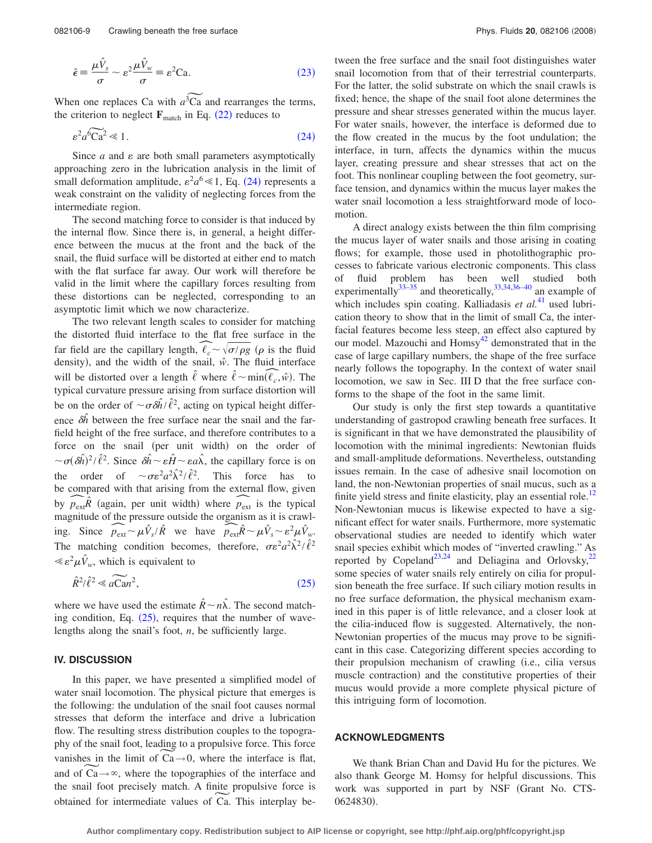<span id="page-8-0"></span>
$$
\hat{\epsilon} = \frac{\mu \hat{V}_s}{\sigma} \sim \varepsilon^2 \frac{\mu \hat{V}_w}{\sigma} \equiv \varepsilon^2 \text{Ca.}
$$
 (23)  
When one replaces Ca with  $a^3 \text{Ca}$  and rearranges the terms,

the criterion to neglect  $\mathbf{F}_{match}$  in Eq. ([22](#page-7-2)) reduces to one replaces Ca with  $a^3$ Ca and rearranges the terms,<br>terion to neglect  $\mathbf{F}_{\text{match}}$  in Eq. (22) reduces to<br> $a^6$ Ca<sup>2</sup>  $\ll$  1. ([24](#page-8-1))

<span id="page-8-1"></span>
$$
\varepsilon^2 a^6 \widetilde{\text{Ca}}^2 \ll 1. \tag{24}
$$

Since  $a$  and  $\varepsilon$  are both small parameters asymptotically approaching zero in the lubrication analysis in the limit of small deformation amplitude,  $\varepsilon^2 a^6 \ll 1$ , Eq. ([24](#page-8-1)) represents a weak constraint on the validity of neglecting forces from the intermediate region.

The second matching force to consider is that induced by the internal flow. Since there is, in general, a height difference between the mucus at the front and the back of the snail, the fluid surface will be distorted at either end to match with the flat surface far away. Our work will therefore be valid in the limit where the capillary forces resulting from these distortions can be neglected, corresponding to an asymptotic limit which we now characterize.

The two relevant length scales to consider for matching the distorted fluid interface to the flat free surface in the far field are the capillary length,  $\ell_c \sim \sqrt{\sigma/\rho g}$  ( $\rho$  is the fluid interface to the flat free surface in the far field are the capillary length,  $\ell_c \sim \sqrt{\sigma/\rho g}$  ( $\rho$  is the fluid density), and the width of the snail,  $\hat{w}$ . The fluid interface will be distorted over a length  $\hat{\ell}$  where  $\hat{\ell} \sim \min(\widehat{\ell_c}, \hat{w})$ . The typical curvature pressure arising from surface distortion will be on the order of  $\sim \sigma \delta \hat{h} / \hat{\ell}^2$ , acting on typical height difference  $\delta \hat{h}$  between the free surface near the snail and the farfield height of the free surface, and therefore contributes to a force on the snail (per unit width) on the order of  $\sim \sigma(\hat{\delta n})^2/\hat{\ell}^2$ . Since  $\hat{\delta n} \sim \varepsilon \hat{H} \sim \varepsilon a \hat{\lambda}$ , the capillary force is on the order of  $\sim \sigma \varepsilon^2 a^2 \hat{\lambda}^2 / \hat{\ell}^2$ . This force has to be compared with that arising from the external flow, given the order of  $\sim \sigma \varepsilon^2 a^2 \hat{\lambda}^2 / \hat{\ell}^2$ . This force has to<br>be compared with that arising from the external flow, given<br>by  $\widehat{p_{\text{ext}}} \hat{R}$  (again, per unit width) where  $\widehat{p_{\text{ext}}}$  is the typical magnitude of the pressure outside the organism as it is crawlby  $\overrightarrow{p}_{ext} \hat{R}$  (again, per unit width) where  $\overrightarrow{p}_{ext} \hat{R}$  (again, per unit width) where  $\overrightarrow{p}_{ext}$  magnitude of the pressure outside the organ ing. Since  $\overrightarrow{p}_{ext} \sim \mu \hat{V}_s / \hat{R}$  we have  $\overrightarrow{p}_{ext}$  $\widehat{p_{\text{ext}}} \sim \mu \hat{V}_s / \hat{R}$  we have  $\widehat{p_{\text{ext}}} \hat{R} \sim \mu \hat{V}_s \sim \varepsilon^2 \mu \hat{V}_w$ . The matching condition becomes, therefore,  $\sigma \epsilon^2 a^2 \hat{\lambda}^2 / \hat{\ell}^2$ <br>  $\ll \epsilon^2 \mu \hat{V}_w$ , which is equivalent to<br>  $\hat{R}^2 / \hat{\ell}^2 \ll a \widetilde{\text{Can}}^2$ , ([25](#page-8-2))  $\ll \varepsilon^2 \mu \hat{V}_w$ , which is equivalent to

$$
\hat{R}^2/\hat{\ell}^2 \ll a\widehat{\text{Can}}^2,\tag{25}
$$

<span id="page-8-2"></span>where we have used the estimate  $\hat{R} \sim n\hat{\lambda}$ . The second matching condition, Eq.  $(25)$  $(25)$  $(25)$ , requires that the number of wavelengths along the snail's foot, *n*, be sufficiently large.

#### **IV. DISCUSSION**

In this paper, we have presented a simplified model of water snail locomotion. The physical picture that emerges is the following: the undulation of the snail foot causes normal stresses that deform the interface and drive a lubrication flow. The resulting stress distribution couples to the topography of the snail foot, leading to a propulsive force. This force stresses that deform the interface and drive a lubrication<br>flow. The resulting stress distribution couples to the topogra-<br>phy of the snail foot, leading to a propulsive force. This force<br>vanishes in the limit of  $Ca \rightarrow 0$ , by of the snail foot, leading to a propulsive force. This force<br>vanishes in the limit of  $\overline{Ca} \rightarrow 0$ , where the interface is flat,<br>and of  $\overline{Ca} \rightarrow \infty$ , where the topographies of the interface and the snail foot precisely match. A finite propulsive force is values in the finite of Ca  $\rightarrow$  0, where the interface is hat,<br>and of Ca $\rightarrow \infty$ , where the topographies of the interface and<br>the snail foot precisely match. A finite propulsive force is<br>obtained for intermediate values of

tween the free surface and the snail foot distinguishes water snail locomotion from that of their terrestrial counterparts. For the latter, the solid substrate on which the snail crawls is fixed; hence, the shape of the snail foot alone determines the pressure and shear stresses generated within the mucus layer. For water snails, however, the interface is deformed due to the flow created in the mucus by the foot undulation; the interface, in turn, affects the dynamics within the mucus layer, creating pressure and shear stresses that act on the foot. This nonlinear coupling between the foot geometry, surface tension, and dynamics within the mucus layer makes the water snail locomotion a less straightforward mode of locomotion.

A direct analogy exists between the thin film comprising the mucus layer of water snails and those arising in coating flows; for example, those used in photolithographic processes to fabricate various electronic components. This class of fluid problem has been well studied both experimentally  $x^{33-35}$  and theoretically,  $x^{33,34,36-40}$  $x^{33,34,36-40}$  $x^{33,34,36-40}$  $x^{33,34,36-40}$  an example of which includes spin coating. Kalliadasis *et al.*<sup>[41](#page-9-33)</sup> used lubrication theory to show that in the limit of small Ca, the interfacial features become less steep, an effect also captured by our model. Mazouchi and Homsy<sup>42</sup> demonstrated that in the case of large capillary numbers, the shape of the free surface nearly follows the topography. In the context of water snail locomotion, we saw in Sec. III D that the free surface conforms to the shape of the foot in the same limit.

Our study is only the first step towards a quantitative understanding of gastropod crawling beneath free surfaces. It is significant in that we have demonstrated the plausibility of locomotion with the minimal ingredients: Newtonian fluids and small-amplitude deformations. Nevertheless, outstanding issues remain. In the case of adhesive snail locomotion on land, the non-Newtonian properties of snail mucus, such as a finite yield stress and finite elasticity, play an essential role. $^{12}$ Non-Newtonian mucus is likewise expected to have a significant effect for water snails. Furthermore, more systematic observational studies are needed to identify which water snail species exhibit which modes of "inverted crawling." As reported by Copeland<sup>23[,24](#page-9-21)</sup> and Deliagina and Orlovsky,<sup>22</sup> some species of water snails rely entirely on cilia for propulsion beneath the free surface. If such ciliary motion results in no free surface deformation, the physical mechanism examined in this paper is of little relevance, and a closer look at the cilia-induced flow is suggested. Alternatively, the non-Newtonian properties of the mucus may prove to be significant in this case. Categorizing different species according to their propulsion mechanism of crawling (i.e., cilia versus muscle contraction) and the constitutive properties of their mucus would provide a more complete physical picture of this intriguing form of locomotion.

#### **ACKNOWLEDGMENTS**

We thank Brian Chan and David Hu for the pictures. We also thank George M. Homsy for helpful discussions. This work was supported in part by NSF Grant No. CTS-0624830).